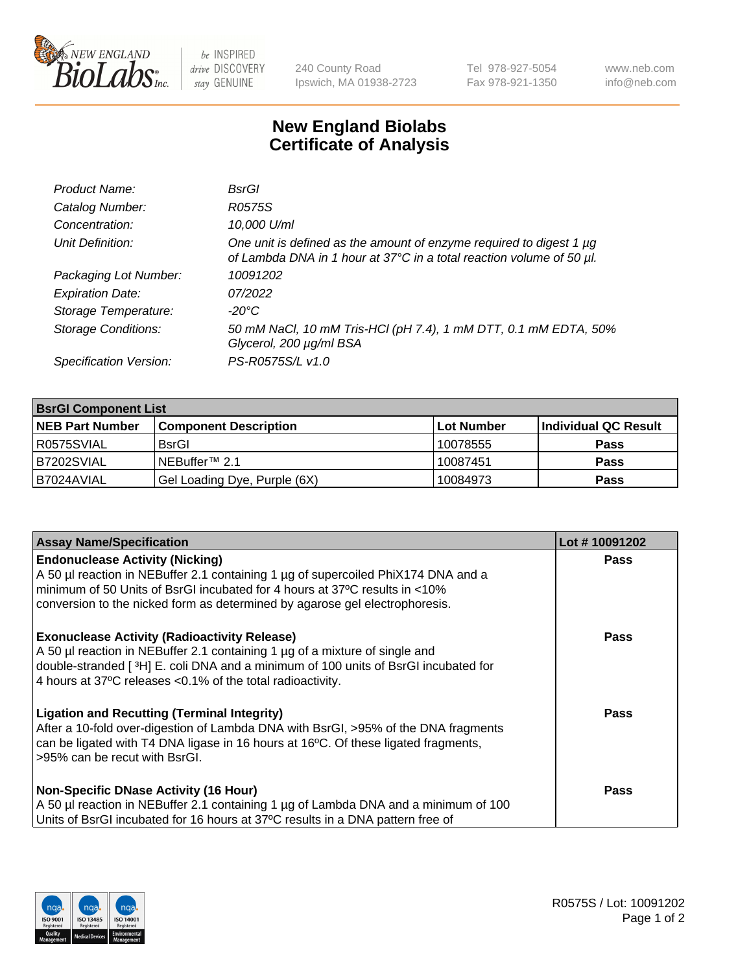

 $be$  INSPIRED drive DISCOVERY stay GENUINE

240 County Road Ipswich, MA 01938-2723 Tel 978-927-5054 Fax 978-921-1350 www.neb.com info@neb.com

## **New England Biolabs Certificate of Analysis**

| Product Name:              | BsrGl                                                                                                                                       |
|----------------------------|---------------------------------------------------------------------------------------------------------------------------------------------|
| Catalog Number:            | R0575S                                                                                                                                      |
| Concentration:             | 10,000 U/ml                                                                                                                                 |
| Unit Definition:           | One unit is defined as the amount of enzyme required to digest 1 µg<br>of Lambda DNA in 1 hour at 37°C in a total reaction volume of 50 µl. |
| Packaging Lot Number:      | 10091202                                                                                                                                    |
| <b>Expiration Date:</b>    | 07/2022                                                                                                                                     |
| Storage Temperature:       | -20°C                                                                                                                                       |
| <b>Storage Conditions:</b> | 50 mM NaCl, 10 mM Tris-HCl (pH 7.4), 1 mM DTT, 0.1 mM EDTA, 50%<br>Glycerol, 200 µg/ml BSA                                                  |
| Specification Version:     | PS-R0575S/L v1.0                                                                                                                            |

| <b>BsrGI Component List</b> |                              |            |                      |  |  |
|-----------------------------|------------------------------|------------|----------------------|--|--|
| <b>NEB Part Number</b>      | <b>Component Description</b> | Lot Number | Individual QC Result |  |  |
| I R0575SVIAL                | <b>BsrGI</b>                 | 10078555   | <b>Pass</b>          |  |  |
| B7202SVIAL                  | INEBuffer™ 2.1               | 10087451   | <b>Pass</b>          |  |  |
| B7024AVIAL                  | Gel Loading Dye, Purple (6X) | 10084973   | <b>Pass</b>          |  |  |

| <b>Assay Name/Specification</b>                                                                                                                                                                                                                                                         | Lot #10091202 |
|-----------------------------------------------------------------------------------------------------------------------------------------------------------------------------------------------------------------------------------------------------------------------------------------|---------------|
| <b>Endonuclease Activity (Nicking)</b><br>A 50 µl reaction in NEBuffer 2.1 containing 1 µg of supercoiled PhiX174 DNA and a                                                                                                                                                             | <b>Pass</b>   |
| minimum of 50 Units of BsrGI incubated for 4 hours at 37°C results in <10%<br>conversion to the nicked form as determined by agarose gel electrophoresis.                                                                                                                               |               |
| <b>Exonuclease Activity (Radioactivity Release)</b><br>A 50 µl reaction in NEBuffer 2.1 containing 1 µg of a mixture of single and<br>double-stranded [3H] E. coli DNA and a minimum of 100 units of BsrGI incubated for<br>4 hours at 37°C releases < 0.1% of the total radioactivity. | Pass          |
| <b>Ligation and Recutting (Terminal Integrity)</b><br>After a 10-fold over-digestion of Lambda DNA with BsrGI, >95% of the DNA fragments<br>can be ligated with T4 DNA ligase in 16 hours at 16 $\degree$ C. Of these ligated fragments,<br>l >95% can be recut with BsrGI.             | Pass          |
| <b>Non-Specific DNase Activity (16 Hour)</b><br>A 50 µl reaction in NEBuffer 2.1 containing 1 µg of Lambda DNA and a minimum of 100<br>Units of BsrGI incubated for 16 hours at 37°C results in a DNA pattern free of                                                                   | <b>Pass</b>   |